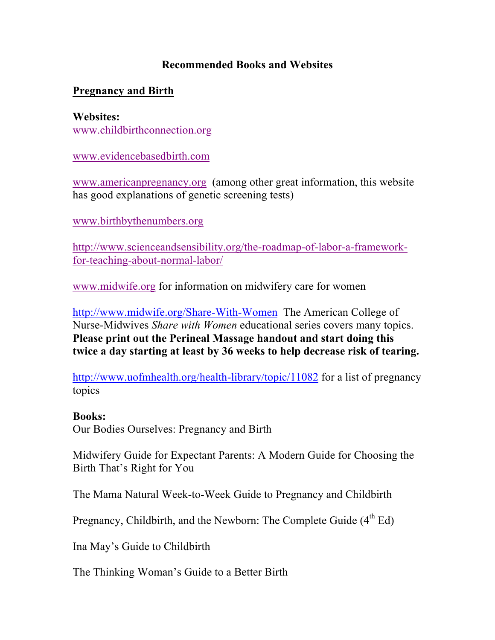## **Recommended Books and Websites**

# **Pregnancy and Birth**

**Websites:** www.childbirthconnection.org

www.evidencebasedbirth.com

www.americanpregnancy.org (among other great information, this website has good explanations of genetic screening tests)

www.birthbythenumbers.org

http://www.scienceandsensibility.org/the-roadmap-of-labor-a-frameworkfor-teaching-about-normal-labor/

www.midwife.org for information on midwifery care for women

http://www.midwife.org/Share-With-Women The American College of Nurse-Midwives *Share with Women* educational series covers many topics. **Please print out the Perineal Massage handout and start doing this twice a day starting at least by 36 weeks to help decrease risk of tearing.**

http://www.uofmhealth.org/health-library/topic/11082 for a list of pregnancy topics

#### **Books:**

Our Bodies Ourselves: Pregnancy and Birth

Midwifery Guide for Expectant Parents: A Modern Guide for Choosing the Birth That's Right for You

The Mama Natural Week-to-Week Guide to Pregnancy and Childbirth

Pregnancy, Childbirth, and the Newborn: The Complete Guide  $(4<sup>th</sup> Ed)$ 

Ina May's Guide to Childbirth

The Thinking Woman's Guide to a Better Birth